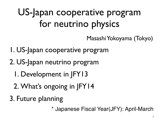US-Japan cooperative program for neutrino physics

Masashi Yokoyama (Tokyo)

1

- 1. US-Japan cooperative program
- 2. US-Japan neutrino program
	- 1. Development in JFY13
	- 2. What's ongoing in JFY14
- 3. Future planning

\* Japanese Fiscal Year(JFY): April-March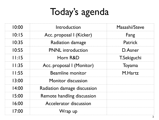# Today's agenda

| 10:00 | Introduction                | Masashi/Steve      |
|-------|-----------------------------|--------------------|
| 10:15 | Acc. proposal I (Kicker)    | Fang               |
| 10:35 | <b>Radiation damage</b>     | <b>Patrick</b>     |
| 10:55 | <b>PNNL</b> introduction    | D. Asner           |
| 11:15 | Horn R&D                    | <b>T.Sekiguchi</b> |
| 11:35 | Acc. proposal I (Monitor)   | Toyama             |
| 11:55 | Beamline monitor            | M.Hartz            |
| 13:00 | Monitor discussion          |                    |
| 14:00 | Radiation damage discussion |                    |
| 15:00 | Remote handling discussion  |                    |
| 16:00 | Accelerator discussion      |                    |
| 17:00 | Wrap up                     |                    |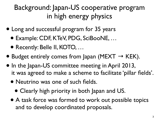#### Background: Japan-US cooperative program in high energy physics

- Long and successful program for 35 years
	- Example: CDF, KTeV, PDG, SciBooNE, …
	- Recently: Belle II, KOTO, …
- Budget entirely comes from Japan (MEXT  $\rightarrow$  KEK).
- In the Japan-US committee meeting in April 2013, it was agreed to make a scheme to facilitate 'pillar fields'.
	- Neutrino was one of such fields.
		- Clearly high priority in both Japan and US.
	- A task force was formed to work out possible topics and to develop coordinated proposals.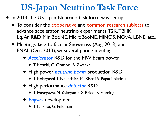### **US-Japan Neutrino Task Force**

- In 2013, the US-Japan Neutrino task force was set up.
	- To consider the cooperative and common research subjects to advance accelerator neutrino experiments: T2K, T2HK, Lq. Ar R&D, MiniBooNE, MicroBooNE, MINOS, NOvA, LBNE, etc..
	- Meetings: face-to-face at Snowmass (Aug. 2013) and FNAL (Oct. 2013), w/ several phone-meetings.
		- *Accelerator* R&D for the MW beam power
			- T. Koseki, C. Ohmori, B. Zwaska
		- High power *neutrino beam* production R&D
			- T. Kobayashi, T. Nakadaira, M. Bishai, V. Papadimitriou
		- High performance *detector* R&D
			- T. Hasegawa, M. Yokoyama, S. Brice, B. Fleming
		- *Physics* development
			- T. Nakaya, G. Feldman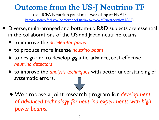#### **Outcome from the US-J Neutrino TF**

(see ICFA Neutrino panel mini-workshop at FNAL: [https://indico.fnal.gov/conferenceDisplay.py?ovw=True&confId=7865\)](https://indico.fnal.gov/conferenceDisplay.py?ovw=True&confId=7865)

- Diverse, multi-pronged and bottom-up R&D subjects are essential in the collaborations of the US and Japan neutrino teams.
	- to improve the *accelerator power*
	- to produce more intense *neutrino beam*
	- to design and to develop gigantic, advance, cost-effective *neutrino detectors*
	- to improve the *analysis techniques* with better understanding of systematic errors.
	- We propose a joint research program for *development of advanced technology for neutrino experiments with high power beams*.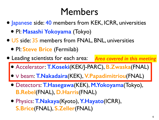### Members

- Japanese side: 40 members from KEK, ICRR, universities
	- PI: **Masashi Yokoyama** (Tokyo)
- US side: 35 members from FNAL, BNL, universities
	- PI: **Steve Brice** (Fermilab)
- Leading scientists for each area: *Area covered in this meeting*
	- Accelerator: **T.Koseki**(KEK/J-PARC), **B.Zwaska**(FNAL)
	- <sup>ν</sup> beam: **T.Nakadaira**(KEK), **V.Papadimitriou**(FNAL)
	- Detectors: **T.Hasegawa**(KEK), **M.Yokoyama**(Tokyo), **B.Rebel**(FNAL), **D.Harris**(FNAL)
	- Physics: **T.Nakaya**(Kyoto), **Y.Hayato**(ICRR), **S.Brice**(FNAL), **S.Zeller**(FNAL)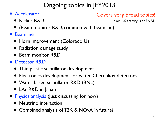#### Ongoing topics in JFY2013

• Accelerator

#### Covers very broad topics!

• Kicker R&D

Main US activity is at FNAL

- (Beam monitor R&D, common with beamline)
- Beamline
	- Horn improvement (Colorado U)
	- Radiation damage study
	- Beam monitor R&D
- Detector R&D
	- Thin plastic scintillator development
	- Electronics development for water Cherenkov detectors
	- Water based scintillator R&D (BNL)
	- LAr R&D in Japan
- Physics analysis (Just discussing for now)
	- Neutrino interaction
	- Combined analysis of T2K & NOvA in future?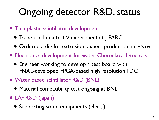# Ongoing detector R&D: status

- Thin plastic scintillator development
	- To be used in a test  $V$  experiment at J-PARC.
	- Ordered a die for extrusion, expect production in ~Nov.
- Electronics development for water Cherenkov detectors
	- Engineer working to develop a test board with FNAL-developed FPGA-based high resolution TDC
- Water based scintillator R&D (BNL)
	- Material compatibility test ongoing at BNL
- LAr R&D (Japan)
	- Supporting some equipments (elec.,)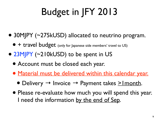# Budget in JFY 2013

- 30MJPY (~275kUSD) allocated to neutrino program.
	- + travel budget (only for Japanese side members' travel to US)
- 23MJPY (~210kUSD) to be spent in US
	- Account must be closed each year.
	- Material must be delivered within this calendar year.
		- Delivery  $\rightarrow$  Invoice  $\rightarrow$  Payment takes  $\geq$ Imonth.
	- Please re-evaluate how much you will spend this year. I need the information by the end of Sep.